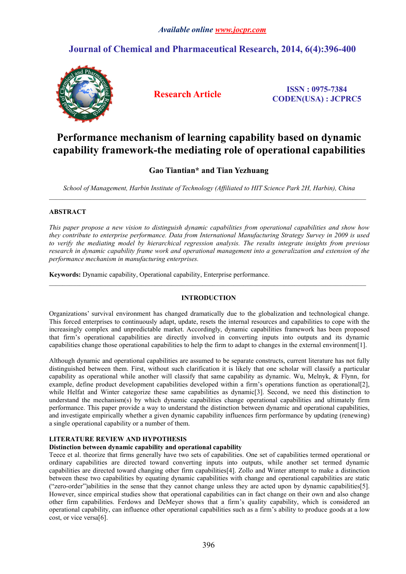## **Journal of Chemical and Pharmaceutical Research, 2014, 6(4):396-400**



**Research Article ISSN : 0975-7384 CODEN(USA) : JCPRC5**

# **Performance mechanism of learning capability based on dynamic capability framework-the mediating role of operational capabilities**

## **Gao Tiantian\* and Tian Yezhuang**

*School of Management, Harbin Institute of Technology (Affiliated to HIT Science Park 2H, Harbin), China*

 $\_$  , and the state of the state of the state of the state of the state of the state of the state of the state of the state of the state of the state of the state of the state of the state of the state of the state of the

### **ABSTRACT**

*This paper propose a new vision to distinguish dynamic capabilities from operational capabilities and show how they contribute to enterprise performance. Data from International Manufacturing Strategy Survey in 2009 is used to verify the mediating model by hierarchical regression analysis. The results integrate insights from previous research in dynamic capability frame work and operational management into a generalization and extension of the performance mechanism in manufacturing enterprises.*

**Keywords:** Dynamic capability, Operational capability, Enterprise performance.

### **INTRODUCTION**

Organizations' survival environment has changed dramatically due to the globalization and technological change. This forced enterprises to continuously adapt, update, resets the internal resources and capabilities to cope with the increasingly complex and unpredictable market. Accordingly, dynamic capabilities framework has been proposed that firm's operational capabilities are directly involved in converting inputs into outputs and its dynamic capabilities change those operational capabilities to help the firm to adapt to changes in the external environment[1].

Although dynamic and operational capabilities are assumed to be separate constructs, current literature has not fully distinguished between them. First, without such clarification it is likely that one scholar will classify a particular capability as operational while another will classify that same capability as dynamic. Wu, Melnyk, & Flynn, for example, define product development capabilities developed within a firm's operations function as operational[2], while Helfat and Winter categorize these same capabilities as dynamic<sup>[3]</sup>. Second, we need this distinction to understand the mechanism(s) by which dynamic capabilities change operational capabilities and ultimately firm performance. This paper provide a way to understand the distinction between dynamic and operational capabilities, and investigate empirically whether a given dynamic capability influences firm performance by updating (renewing) a single operational capability or a number of them.

## **LITERATURE REVIEW AND HYPOTHESIS**

#### **Distinction between dynamic capability and operational capability**

Teece et al. theorize that firms generally have two sets of capabilities. One set of capabilities termed operational or ordinary capabilities are directed toward converting inputs into outputs, while another set termed dynamic capabilities are directed toward changing other firm capabilities[4]. Zollo and Winter attempt to make a distinction between these two capabilities by equating dynamic capabilities with change and operational capabilities are static ("zero-order")abilities in the sense that they cannot change unless they are acted upon by dynamic capabilities[5]. However, since empirical studies show that operational capabilities can in fact change on their own and also change other firm capabilities. Ferdows and DeMeyer shows that a firm's quality capability, which is considered an operational capability, can influence other operational capabilities such as a firm's ability to produce goods at a low cost, or vice versa[6].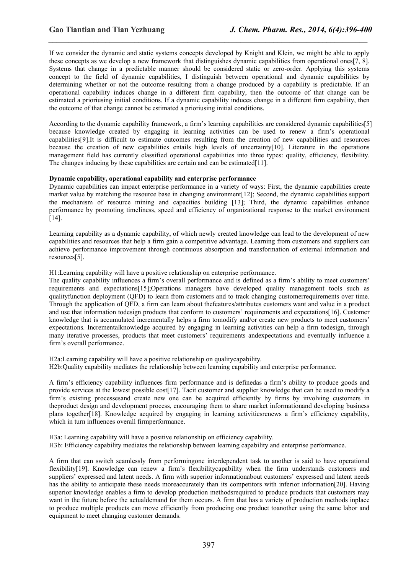If we consider the dynamic and static systems concepts developed by Knight and Klein, we might be able to apply these concepts as we develop a new framework that distinguishes dynamic capabilities from operational ones[7, 8]. Systems that change in a predictable manner should be considered static or zero-order. Applying this systems concept to the field of dynamic capabilities, I distinguish between operational and dynamic capabilities by determining whether or not the outcome resulting from a change produced by a capability is predictable. If an operational capability induces change in a different firm capability, then the outcome of that change can be estimated a prioriusing initial conditions. If a dynamic capability induces change in a different firm capability, then the outcome of that change cannot be estimated a prioriusing initial conditions.

*\_\_\_\_\_\_\_\_\_\_\_\_\_\_\_\_\_\_\_\_\_\_\_\_\_\_\_\_\_\_\_\_\_\_\_\_\_\_\_\_\_\_\_\_\_\_\_\_\_\_\_\_\_\_\_\_\_\_\_\_\_\_\_\_\_\_\_\_\_\_\_\_\_\_\_\_\_\_*

According to the dynamic capability framework, a firm's learning capabilities are considered dynamic capabilities[5] because knowledge created by engaging in learning activities can be used to renew a firm's operational capabilities[9].It is difficult to estimate outcomes resulting from the creation of new capabilities and resources because the creation of new capabilities entails high levels of uncertainty[10]. Literature in the operations management field has currently classified operational capabilities into three types: quality, efficiency, flexibility. The changes inducing by these capabilities are certain and can be estimated [11].

#### **Dynamic capability, operational capability and enterprise performance**

Dynamic capabilities can impact enterprise performance in a variety of ways: First, the dynamic capabilities create market value by matching the resource base in changing environment[12]; Second, the dynamic capabilities support the mechanism of resource mining and capacities building [13]; Third, the dynamic capabilities enhance performance by promoting timeliness, speed and efficiency of organizational response to the market environment [14].

Learning capability as a dynamic capability, of which newly created knowledge can lead to the development of new capabilities and resources that help a firm gain a competitive advantage. Learning from customers and suppliers can achieve performance improvement through continuous absorption and transformation of external information and resources[5].

H1:Learning capability will have a positive relationship on enterprise performance.

The quality capability influences a firm's overall performance and is defined as a firm's ability to meet customers' requirements and expectations[15];Operations managers have developed quality management tools such as qualityfunction deployment (QFD) to learn from customers and to track changing customerrequirements over time. Through the application of QFD, a firm can learn about thefeatures/attributes customers want and value in a product and use that information todesign products that conform to customers' requirements and expectations[16]. Customer knowledge that is accumulated incrementally helps a firm tomodify and/or create new products to meet customers' expectations. Incrementalknowledge acquired by engaging in learning activities can help a firm todesign, through many iterative processes, products that meet customers' requirements andexpectations and eventually influence a firm's overall performance.

H2a:Learning capability will have a positive relationship on qualitycapability. H2b:Quality capability mediates the relationship between learning capability and enterprise performance.

A firm's efficiency capability influences firm performance and is definedas a firm's ability to produce goods and provide services at the lowest possible cost[17]. Tacit customer and supplier knowledge that can be used to modify a firm's existing processesand create new one can be acquired efficiently by firms by involving customers in theproduct design and development process, encouraging them to share market informationand developing business plans together[18]. Knowledge acquired by engaging in learning activitiesrenews a firm's efficiency capability, which in turn influences overall firmperformance.

H3a: Learning capability will have a positive relationship on efficiency capability. H3b: Efficiency capability mediates the relationship between learning capability and enterprise performance.

A firm that can switch seamlessly from performingone interdependent task to another is said to have operational flexibility[19]. Knowledge can renew a firm's flexibilitycapability when the firm understands customers and suppliers' expressed and latent needs. A firm with superior informationabout customers' expressed and latent needs has the ability to anticipate these needs moreaccurately than its competitors with inferior information[20]. Having superior knowledge enables a firm to develop production methodsrequired to produce products that customers may want in the future before the actualdemand for them occurs. A firm that has a variety of production methods inplace to produce multiple products can move efficiently from producing one product toanother using the same labor and equipment to meet changing customer demands.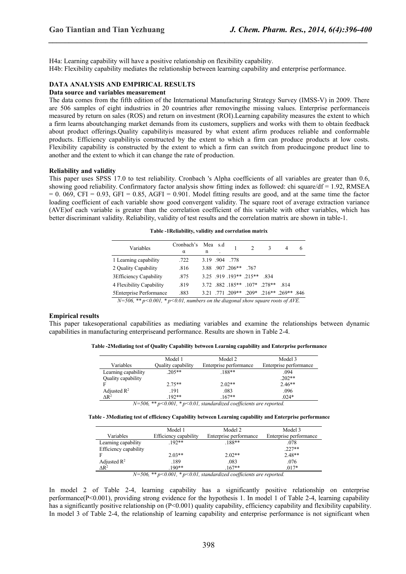H4a: Learning capability will have a positive relationship on flexibility capability. H4b: Flexibility capability mediates the relationship between learning capability and enterprise performance.

#### **DATA ANALYSIS AND EMPIRICAL RESULTS**

#### **Data source and variables measurement**

The data comes from the fifth edition of the International Manufacturing Strategy Survey (IMSS-V) in 2009. There are 506 samples of eight industries in 20 countries after removingthe missing values. Enterprise performanceis measured by return on sales (ROS) and return on investment (ROI).Learning capability measures the extent to which a firm learns aboutchanging market demands from its customers, suppliers and works with them to obtain feedback about product offerings.Quality capabilityis measured by what extent afirm produces reliable and conformable products. Efficiency capabilityis constructed by the extent to which a firm can produce products at low costs. Flexibility capability is constructed by the extent to which a firm can switch from producingone product line to another and the extent to which it can change the rate of production.

*\_\_\_\_\_\_\_\_\_\_\_\_\_\_\_\_\_\_\_\_\_\_\_\_\_\_\_\_\_\_\_\_\_\_\_\_\_\_\_\_\_\_\_\_\_\_\_\_\_\_\_\_\_\_\_\_\_\_\_\_\_\_\_\_\_\_\_\_\_\_\_\_\_\_\_\_\_\_*

#### **Reliability and validity**

This paper uses SPSS 17.0 to test reliability. Cronbach 's Alpha coefficients of all variables are greater than 0.6, showing good reliability. Confirmatory factor analysis show fitting index as followed: chi square/df = 1.92, RMSEA  $= 0.069$ , CFI = 0.93, GFI = 0.85, AGFI = 0.901. Model fitting results are good, and at the same time the factor loading coefficient of each variable show good convergent validity. The square root of average extraction variance (AVE) of each variable is greater than the correlation coefficient of this variable with other variables, which has better discriminant validity. Reliability, validity of test results and the correlation matrix are shown in table-1.

**Table -1Reliability, validity and correlation matrix**

| 3.19 .904 .778<br>.722<br>1 Learning capability                         |
|-------------------------------------------------------------------------|
|                                                                         |
| 3.88 907 206** 767<br>2 Quality Capability<br>.816                      |
| 3.25 919 193** 215** 834<br>3 Efficiency Capability<br>.875             |
| 3.72 882 185** 107* 278** 814<br>.819<br>4 Flexibility Capability       |
| 3.21 771 209** 209* 216** 269** 846<br>.883<br>5 Enterprise Performance |

*N=506, \*\* p<0.001, \* p<0.01, numbers on the diagonal show square roots ofAVE.*

#### **Empirical results**

This paper takesoperational capabilities as mediating variables and examine the relationships between dynamic capabilities in manufacturing enterpriseand performance. Results are shown in Table 2-4.

**Table -2Mediating test of Quality Capability between Learning capability and Enterprise performance**

|                     | Model 1            | Model 2                | Model 3                |
|---------------------|--------------------|------------------------|------------------------|
| Variables           |                    |                        |                        |
|                     | Quality capability | Enterprise performance | Enterprise performance |
| Learning capability | $.205**$           | 188**                  | .094                   |
| Quality capability  |                    |                        | $.202**$               |
|                     | $2.75**$           | $2.02**$               | $2.46**$               |
| Adjusted $R^2$      | .191               | .083                   | .096                   |
| $\triangle R^2$     | $192**$            | $167**$                | $.024*$                |
| .                   |                    | .<br>$\sim$            |                        |

*N=506, \*\* p<0.001, \* p<0.01, standardized coefficients are reported.*

**Table - 3Mediating test of efficiency Capability between Learning capability and Enterprise performance**

|                         | Model 1               | Model 2                                                                  | Model 3                |
|-------------------------|-----------------------|--------------------------------------------------------------------------|------------------------|
| Variables               | Efficiency capability | Enterprise performance                                                   | Enterprise performance |
| Learning capability     | $192**$               | $.188**$                                                                 | .078                   |
| Efficiency capability   |                       |                                                                          | $.227**$               |
|                         | $2.03**$              | $2.02**$                                                                 | $2.48**$               |
| Adjusted $\mathbb{R}^2$ | .189                  | .083                                                                     | .076                   |
| $\Delta$ R <sup>2</sup> | $190**$               | $167**$                                                                  | $.017*$                |
|                         |                       | $N=506$ ** $n<0.001$ * $n<0.01$ standardized each circuity and upperfect |                        |

*N=506, \*\* p<0.001, \* p<0.01, standardized coefficients are reported.*

In model 2 of Table 2-4, learning capability has a significantly positive relationship on enterprise performance(P<0.001), providing strong evidence for the hypothesis 1. In model 1 of Table 2-4, learning capability has a significantly positive relationship on (P<0.001) quality capability, efficiency capability and flexibility capability. In model 3 of Table 2-4, the relationship of learning capability and enterprise performance is not significant when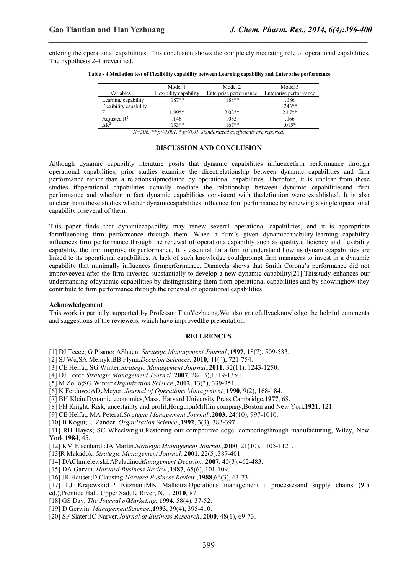entering the operational capabilities. This conclusion shows the completely mediating role of operational capabilities. The hypothesis 2-4 areverified.

*\_\_\_\_\_\_\_\_\_\_\_\_\_\_\_\_\_\_\_\_\_\_\_\_\_\_\_\_\_\_\_\_\_\_\_\_\_\_\_\_\_\_\_\_\_\_\_\_\_\_\_\_\_\_\_\_\_\_\_\_\_\_\_\_\_\_\_\_\_\_\_\_\_\_\_\_\_\_*

|                         | Model 1                | Model 2                | Model 3                |
|-------------------------|------------------------|------------------------|------------------------|
| Variables               | Flexibility capability | Enterprise performance | Enterprise performance |
| Learning capability     | 187**                  | $.188**$               | .086                   |
| Flexibility capability  |                        |                        | $.243**$               |
|                         | 1.99**                 | $2.02**$               | $2.17**$               |
| Adjusted $\mathbb{R}^2$ | .146                   | .083                   | .066                   |
| AR <sup>2</sup>         | $133**$                | $.167**$               | $.015*$                |

**Table - 4 Mediation test of Flexibility capability between Learning capability and Enterprise performance**

*N=506, \*\* p<0.001, \* p<0.01, standardized coefficients are reported.*

#### **DISCUSSION AND CONCLUSION**

Although dynamic capability literature posits that dynamic capabilities influencefirm performance through operational capabilities, prior studies examine the directrelationship between dynamic capabilities and firm performance rather than a relationshipmediated by operational capabilities. Therefore, it is unclear from these studies ifoperational capabilities actually mediate the relationship between dynamic capabilitiesand firm performance and whether in fact dynamic capabilities consistent with thedefinition were established. It is also unclear from these studies whether dynamiccapabilities influence firm performance by renewing a single operational capability orseveral of them.

This paper finds that dynamiccapability may renew several operational capabilities, and it is appropriate forinfluencing firm performance through them. When a firm's given dynamiccapability-learning capability influences firm performance through the renewal of operationalcapability such as quality,efficiency and flexibility capability, the firm improve its performance. It is essential for a firm to understand how its dynamiccapabilities are linked to its operational capabilities. A lack of such knowledge couldprompt firm managers toinvest in a dynamic capability that minimally influences firmperformance. Danneels shows that Smith Corona's performance did not improveeven after the firm invested substantially to develop a new dynamic capability[21].Thisstudy enhances our understanding ofdynamic capabilities by distinguishing them from operational capabilities and by showinghow they contribute to firm performance through the renewal of operational capabilities.

#### **Acknowledgement**

This work is partially supported by Professor TianYezhuang. We also gratefullyacknowledge the helpful comments and suggestions of the reviewers, which have improved the presentation.

#### **REFERENCES**

[1] DJ Teece; G Pisano; AShuen. *Strategic Management Journal.,***1997**, 18(7), 509-533.

[2] SJ Wu;SA Melnyk;BB Flynn.*Decision Sciences.,***2010**, 41(4), 721-754.

- [3] CE Helfat; SG Winter.*Strategic Management Journal.,***2011**, 32(11), 1243-1250.
- [4] DJ Teece.*Strategic Management Journal.,***2007**, 28(13),1319-1350.
- [5] M Zollo;SG Winter.*Organization Science.,***2002**, 13(3), 339-351.
- [6] K Ferdows;ADeMeyer. *Journal of Operations Management.,***1990**, 9(2), 168-184.
- [7] BH Klein.Dynamic economics,Mass, Harvard University Press,Cambridge,**1977**, 68.
- [8] FH Knight. Risk, uncertainty and profit,HougthonMifflin company,Boston and New York**1921**, 121.
- [9] CE Helfat; MA Peteraf.*Strategic Management Journal.,***2003**, 24(10), 997-1010.
- [10] B Kogut; U Zander. *Organization Science.,***1992**, 3(3), 383-397.

[11] RH Hayes; SC Wheelwright.Restoring our competitive edge: competingthrough manufacturing, Wiley, New York,**1984**, 45.

- [12] KM Eisenhardt;JA Martin.*Strategic Management Journal.,***2000**, 21(10), 1105-1121.
- [13]R Makadok. *Strategic Management Journal.,***2001**, 22(5),387-401.
- [14] DAChmielewski;APaladino.*Management Decision.,***2007**, 45(3),462-483.
- [15] DA Garvin. *Harvard Business Review.,***1987**, 65(6), 101-109.
- [16] JR Hauser;D Clausing.*Harvard Business Review.,***1988**,66(3), 63-73.
- [17] LJ Krajewski;LP Ritzman;MK Malhotra.Operations management : processesand supply chains (9th ed.),Prentice Hall, Upper Saddle River, N.J., **2010**, 87.
- [18] GS Day. *The Journal ofMarketing.,***1994**, 58(4), 37-52.
- [19] D Gerwin. *ManagementScience.,***1993**, 39(4), 395-410.
- [20] SF Slater;JC Narver.*Journal of Business Research.,***2000**, 48(1), 69-73.